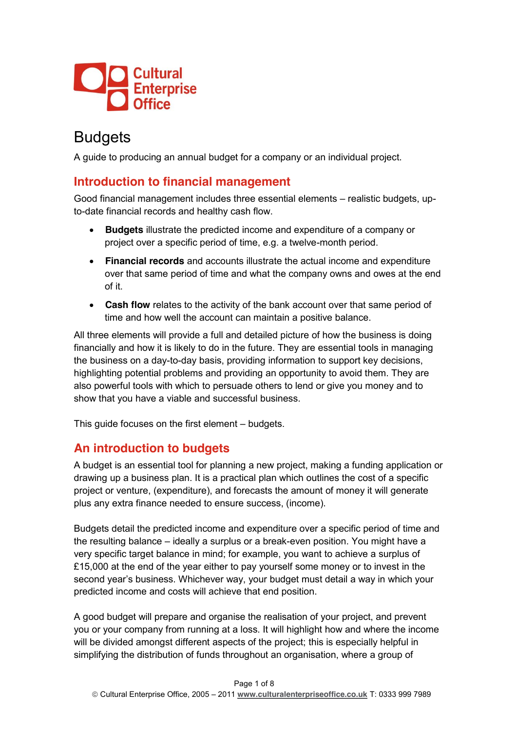

# **Budgets**

A guide to producing an annual budget for a company or an individual project.

#### **Introduction to financial management**

Good financial management includes three essential elements – realistic budgets, upto-date financial records and healthy cash flow.

- **Budgets** illustrate the predicted income and expenditure of a company or project over a specific period of time, e.g. a twelve-month period.
- x **Financial records** and accounts illustrate the actual income and expenditure over that same period of time and what the company owns and owes at the end of it.
- **Cash flow** relates to the activity of the bank account over that same period of time and how well the account can maintain a positive balance.

All three elements will provide a full and detailed picture of how the business is doing financially and how it is likely to do in the future. They are essential tools in managing the business on a day-to-day basis, providing information to support key decisions, highlighting potential problems and providing an opportunity to avoid them. They are also powerful tools with which to persuade others to lend or give you money and to show that you have a viable and successful business.

This guide focuses on the first element – budgets.

### **An introduction to budgets**

A budget is an essential tool for planning a new project, making a funding application or drawing up a business plan. It is a practical plan which outlines the cost of a specific project or venture, (expenditure), and forecasts the amount of money it will generate plus any extra finance needed to ensure success, (income).

Budgets detail the predicted income and expenditure over a specific period of time and the resulting balance – ideally a surplus or a break-even position. You might have a very specific target balance in mind; for example, you want to achieve a surplus of £15,000 at the end of the year either to pay yourself some money or to invest in the second year's business. Whichever way, your budget must detail a way in which your predicted income and costs will achieve that end position.

A good budget will prepare and organise the realisation of your project, and prevent you or your company from running at a loss. It will highlight how and where the income will be divided amongst different aspects of the project; this is especially helpful in simplifying the distribution of funds throughout an organisation, where a group of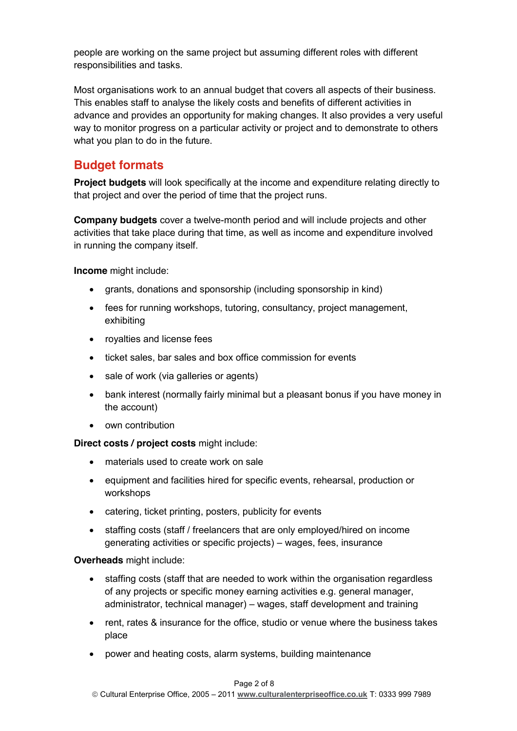people are working on the same project but assuming different roles with different responsibilities and tasks.

Most organisations work to an annual budget that covers all aspects of their business. This enables staff to analyse the likely costs and benefits of different activities in advance and provides an opportunity for making changes. It also provides a very useful way to monitor progress on a particular activity or project and to demonstrate to others what you plan to do in the future.

### **Budget formats**

**Project budgets** will look specifically at the income and expenditure relating directly to that project and over the period of time that the project runs.

**Company budgets** cover a twelve-month period and will include projects and other activities that take place during that time, as well as income and expenditure involved in running the company itself.

**Income** might include:

- grants, donations and sponsorship (including sponsorship in kind)
- fees for running workshops, tutoring, consultancy, project management, exhibiting
- royalties and license fees
- ticket sales, bar sales and box office commission for events
- sale of work (via galleries or agents)
- bank interest (normally fairly minimal but a pleasant bonus if you have money in the account)
- own contribution

**Direct costs / project costs** might include:

- materials used to create work on sale
- equipment and facilities hired for specific events, rehearsal, production or workshops
- catering, ticket printing, posters, publicity for events
- staffing costs (staff / freelancers that are only employed/hired on income generating activities or specific projects) – wages, fees, insurance

**Overheads** might include:

- staffing costs (staff that are needed to work within the organisation regardless of any projects or specific money earning activities e.g. general manager, administrator, technical manager) – wages, staff development and training
- rent, rates & insurance for the office, studio or venue where the business takes place
- power and heating costs, alarm systems, building maintenance

#### Page 2 of 8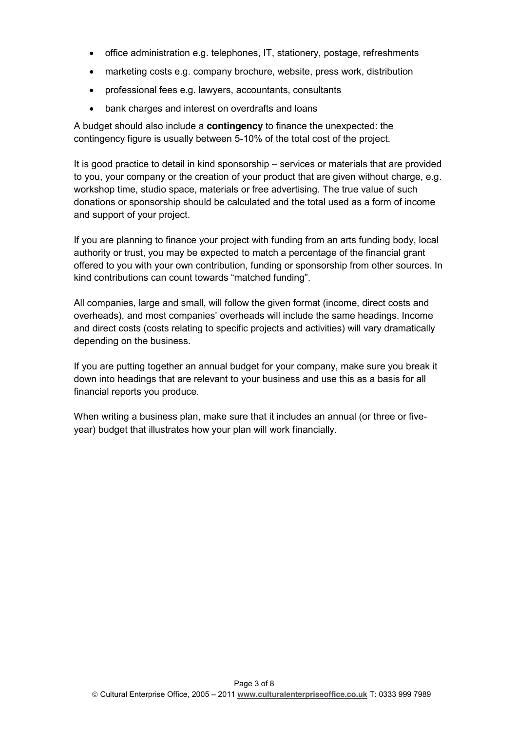- office administration e.g. telephones, IT, stationery, postage, refreshments
- marketing costs e.g. company brochure, website, press work, distribution
- professional fees e.g. lawyers, accountants, consultants
- bank charges and interest on overdrafts and loans

A budget should also include a **contingency** to finance the unexpected: the contingency figure is usually between 5-10% of the total cost of the project.

It is good practice to detail in kind sponsorship – services or materials that are provided to you, your company or the creation of your product that are given without charge, e.g. workshop time, studio space, materials or free advertising. The true value of such donations or sponsorship should be calculated and the total used as a form of income and support of your project.

If you are planning to finance your project with funding from an arts funding body, local authority or trust, you may be expected to match a percentage of the financial grant offered to you with your own contribution, funding or sponsorship from other sources. In kind contributions can count towards "matched funding".

All companies, large and small, will follow the given format (income, direct costs and overheads), and most companies' overheads will include the same headings. Income and direct costs (costs relating to specific projects and activities) will vary dramatically depending on the business.

If you are putting together an annual budget for your company, make sure you break it down into headings that are relevant to your business and use this as a basis for all financial reports you produce.

When writing a business plan, make sure that it includes an annual (or three or fiveyear) budget that illustrates how your plan will work financially.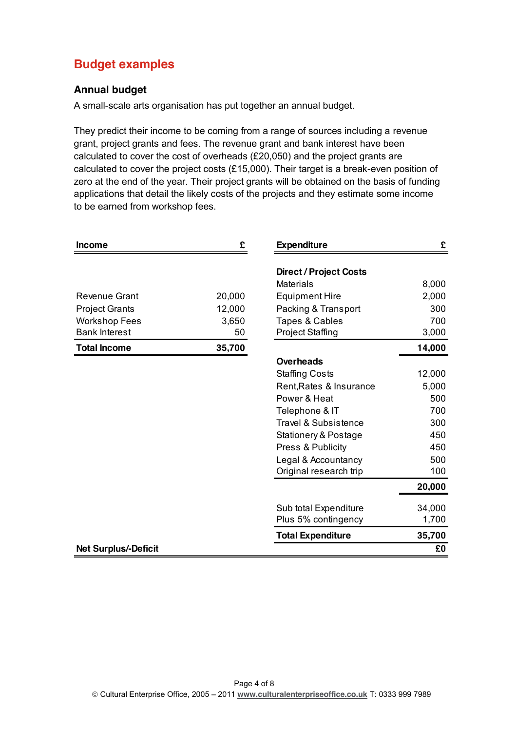# **Budget examples**

#### **Annual budget**

A small-scale arts organisation has put together an annual budget.

They predict their income to be coming from a range of sources including a revenue grant, project grants and fees. The revenue grant and bank interest have been calculated to cover the cost of overheads (£20,050) and the project grants are calculated to cover the project costs (£15,000). Their target is a break-even position of zero at the end of the year. Their project grants will be obtained on the basis of funding applications that detail the likely costs of the projects and they estimate some income to be earned from workshop fees.

| <b>Income</b>               | £<br><b>Expenditure</b> |                                 | £      |
|-----------------------------|-------------------------|---------------------------------|--------|
|                             |                         | <b>Direct / Project Costs</b>   |        |
|                             |                         | Materials                       | 8,000  |
| Revenue Grant               | 20,000                  | <b>Equipment Hire</b>           | 2,000  |
| <b>Project Grants</b>       | 12,000                  | Packing & Transport             | 300    |
| <b>Workshop Fees</b>        | 3,650                   | Tapes & Cables                  | 700    |
| <b>Bank Interest</b>        | 50                      | <b>Project Staffing</b>         | 3,000  |
|                             |                         |                                 |        |
| <b>Total Income</b>         | 35,700                  |                                 | 14,000 |
|                             |                         | <b>Overheads</b>                |        |
|                             |                         | <b>Staffing Costs</b>           | 12,000 |
|                             |                         | Rent, Rates & Insurance         | 5,000  |
|                             |                         | Power & Heat                    | 500    |
|                             |                         | Telephone & IT                  | 700    |
|                             |                         | <b>Travel &amp; Subsistence</b> | 300    |
|                             |                         | Stationery & Postage            | 450    |
|                             |                         | Press & Publicity               | 450    |
|                             |                         | Legal & Accountancy             | 500    |
|                             |                         | Original research trip          | 100    |
|                             |                         |                                 | 20,000 |
|                             |                         | Sub total Expenditure           | 34,000 |
|                             |                         | Plus 5% contingency             | 1,700  |
|                             |                         | <b>Total Expenditure</b>        | 35,700 |
| <b>Net Surplus/-Deficit</b> |                         |                                 | £0     |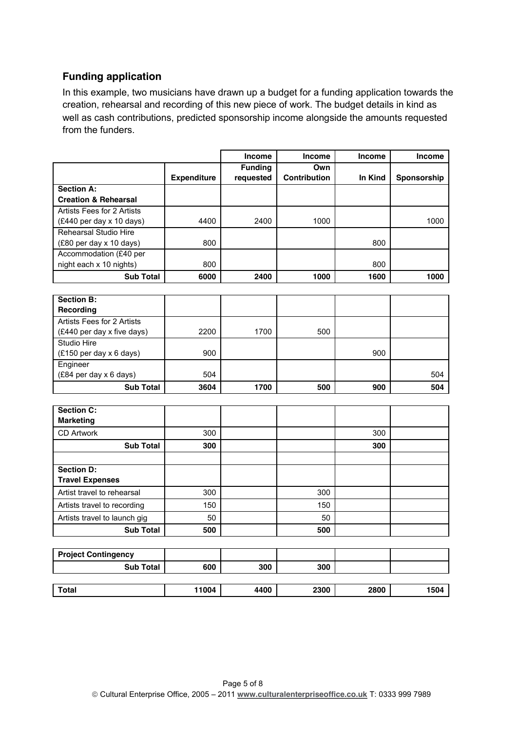#### **Funding application**

In this example, two musicians have drawn up a budget for a funding application towards the creation, rehearsal and recording of this new piece of work. The budget details in kind as well as cash contributions, predicted sponsorship income alongside the amounts requested from the funders.

|                                 |                    | <b>Income</b>  | <b>Income</b>       | <b>Income</b> | <b>Income</b> |
|---------------------------------|--------------------|----------------|---------------------|---------------|---------------|
|                                 |                    | <b>Funding</b> | Own                 |               |               |
|                                 | <b>Expenditure</b> | requested      | <b>Contribution</b> | In Kind       | Sponsorship   |
| <b>Section A:</b>               |                    |                |                     |               |               |
| <b>Creation &amp; Rehearsal</b> |                    |                |                     |               |               |
| Artists Fees for 2 Artists      |                    |                |                     |               |               |
| (£440 per day x 10 days)        | 4400               | 2400           | 1000                |               | 1000          |
| Rehearsal Studio Hire           |                    |                |                     |               |               |
| (£80 per day x 10 days)         | 800                |                |                     | 800           |               |
| Accommodation (£40 per          |                    |                |                     |               |               |
| night each x 10 nights)         | 800                |                |                     | 800           |               |
| <b>Sub Total</b>                | 6000               | 2400           | 1000                | 1600          | 1000          |
|                                 |                    |                |                     |               |               |
| <b>Section B:</b>               |                    |                |                     |               |               |
| Recording                       |                    |                |                     |               |               |
| Artists Fees for 2 Artists      |                    |                |                     |               |               |
| (£440 per day x five days)      | 2200               | 1700           | 500                 |               |               |
| Studio Hire                     |                    |                |                     |               |               |
| (£150 per day x 6 days)         | 900                |                |                     | 900           |               |
| Engineer                        |                    |                |                     |               |               |
| (£84 per day x 6 days)          | 504                |                |                     |               | 504           |
| <b>Sub Total</b>                | 3604               | 1700           | 500                 | 900           | 504           |
|                                 |                    |                |                     |               |               |
| <b>Section C:</b>               |                    |                |                     |               |               |
| <b>Marketing</b>                |                    |                |                     |               |               |
| <b>CD Artwork</b>               | 300                |                |                     | 300           |               |
| <b>Sub Total</b>                | 300                |                |                     | 300           |               |
|                                 |                    |                |                     |               |               |
| <b>Section D:</b>               |                    |                |                     |               |               |
| <b>Travel Expenses</b>          |                    |                |                     |               |               |
| Artist travel to rehearsal      | 300                |                | 300                 |               |               |

| <b>Sub Total</b>           | 500   |      | 500  |      |      |
|----------------------------|-------|------|------|------|------|
|                            |       |      |      |      |      |
| <b>Project Contingency</b> |       |      |      |      |      |
| <b>Sub Total</b>           | 600   | 300  | 300  |      |      |
|                            |       |      |      |      |      |
| <b>Total</b>               | 11004 | 4400 | 2300 | 2800 | 1504 |

Artists travel to recording 150 150 150 Artists travel to launch gig 50 50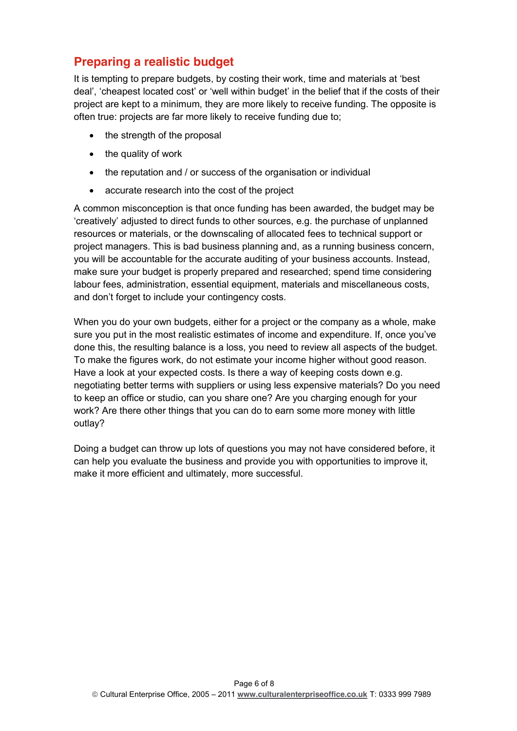### **Preparing a realistic budget**

It is tempting to prepare budgets, by costing their work, time and materials at 'best deal', 'cheapest located cost' or 'well within budget' in the belief that if the costs of their project are kept to a minimum, they are more likely to receive funding. The opposite is often true: projects are far more likely to receive funding due to;

- $\bullet$  the strength of the proposal
- $\bullet$  the quality of work
- $\bullet$  the reputation and / or success of the organisation or individual
- accurate research into the cost of the project

A common misconception is that once funding has been awarded, the budget may be 'creatively' adjusted to direct funds to other sources, e.g. the purchase of unplanned resources or materials, or the downscaling of allocated fees to technical support or project managers. This is bad business planning and, as a running business concern, you will be accountable for the accurate auditing of your business accounts. Instead, make sure your budget is properly prepared and researched; spend time considering labour fees, administration, essential equipment, materials and miscellaneous costs, and don't forget to include your contingency costs.

When you do your own budgets, either for a project or the company as a whole, make sure you put in the most realistic estimates of income and expenditure. If, once you've done this, the resulting balance is a loss, you need to review all aspects of the budget. To make the figures work, do not estimate your income higher without good reason. Have a look at your expected costs. Is there a way of keeping costs down e.g. negotiating better terms with suppliers or using less expensive materials? Do you need to keep an office or studio, can you share one? Are you charging enough for your work? Are there other things that you can do to earn some more money with little outlay?

Doing a budget can throw up lots of questions you may not have considered before, it can help you evaluate the business and provide you with opportunities to improve it, make it more efficient and ultimately, more successful.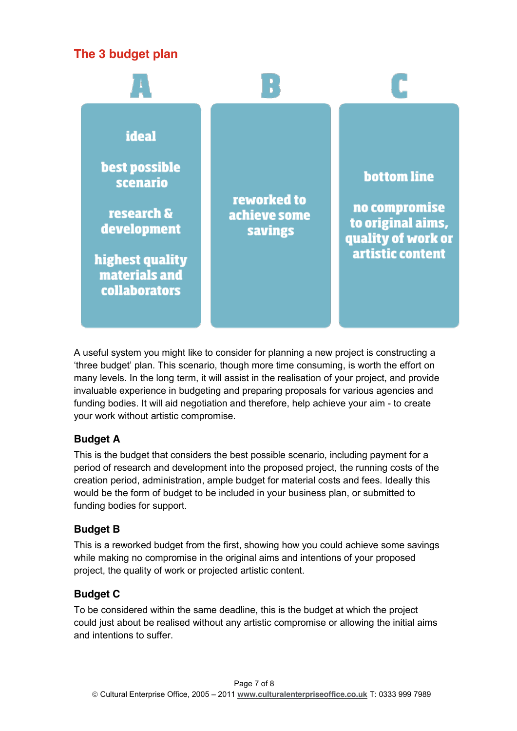# **The 3 budget plan**



A useful system you might like to consider for planning a new project is constructing a 'three budget' plan. This scenario, though more time consuming, is worth the effort on many levels. In the long term, it will assist in the realisation of your project, and provide invaluable experience in budgeting and preparing proposals for various agencies and funding bodies. It will aid negotiation and therefore, help achieve your aim - to create your work without artistic compromise.

#### **Budget A**

This is the budget that considers the best possible scenario, including payment for a period of research and development into the proposed project, the running costs of the creation period, administration, ample budget for material costs and fees. Ideally this would be the form of budget to be included in your business plan, or submitted to funding bodies for support.

#### **Budget B**

This is a reworked budget from the first, showing how you could achieve some savings while making no compromise in the original aims and intentions of your proposed project, the quality of work or projected artistic content.

#### **Budget C**

To be considered within the same deadline, this is the budget at which the project could just about be realised without any artistic compromise or allowing the initial aims and intentions to suffer.